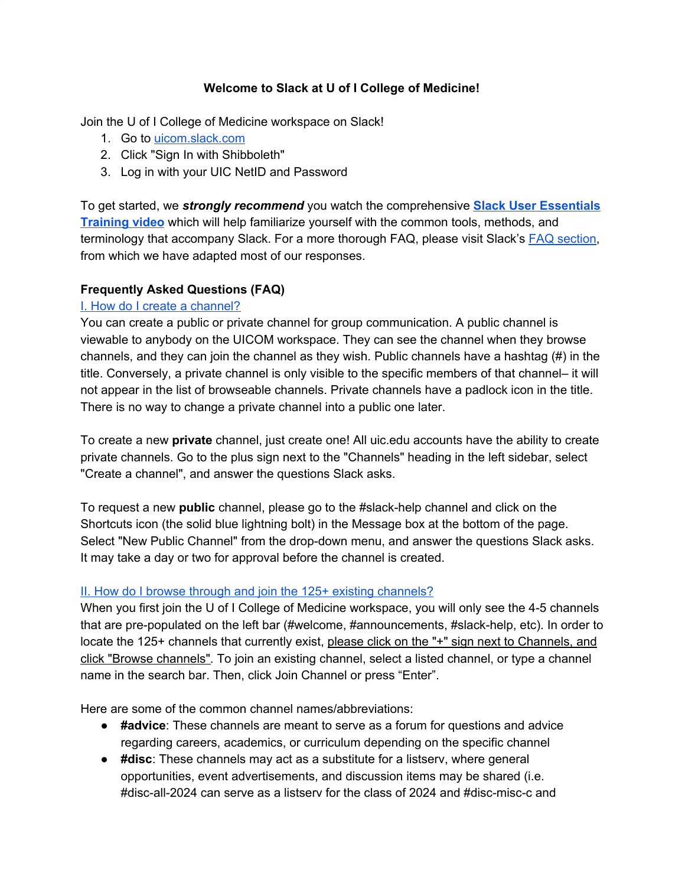#### **Welcome to Slack at U of I College of Medicine!**

Join the U of I College of Medicine workspace on Slack!

- 1. Go to [uicom.slack.com](http://uicom.slack.com/)
- 2. Click "Sign In with Shibboleth"
- 3. Log in with your UIC NetID and Password

To get started, we *strongly recommend* you watch the comprehensive **Slack User [Essentials](https://drive.google.com/file/d/1uxYiiKW5dA0JvB3rzw2F9993CDh_5lTF/view?usp=sharing) [Training](https://drive.google.com/file/d/1uxYiiKW5dA0JvB3rzw2F9993CDh_5lTF/view?usp=sharing) video** which will help familiarize yourself with the common tools, methods, and terminology that accompany Slack. For a more thorough FAQ, please visit Slack's FAQ [section](https://slack.com/help/categories/200111606-Using-Slack), from which we have adapted most of our responses.

### **Frequently Asked Questions (FAQ)**

### I. How do I create a [channel?](https://slack.com/help/articles/360017938993-What-is-a-channel)

You can create a public or private channel for group communication. A public channel is viewable to anybody on the UICOM workspace. They can see the channel when they browse channels, and they can join the channel as they wish. Public channels have a hashtag (#) in the title. Conversely, a private channel is only visible to the specific members of that channel– it will not appear in the list of browseable channels. Private channels have a padlock icon in the title. There is no way to change a private channel into a public one later.

To create a new **private** channel, just create one! All uic.edu accounts have the ability to create private channels. Go to the plus sign next to the "Channels" heading in the left sidebar, select "Create a channel", and answer the questions Slack asks.

To request a new **public** channel, please go to the #slack-help channel and click on the Shortcuts icon (the solid blue lightning bolt) in the Message box at the bottom of the page. Select "New Public Channel" from the drop-down menu, and answer the questions Slack asks. It may take a day or two for approval before the channel is created.

### II. How do I browse through and join the 125+ existing [channels?](https://slack.com/help/articles/205239967-Join-a-channel)

When you first join the U of I College of Medicine workspace, you will only see the 4-5 channels that are pre-populated on the left bar (#welcome, #announcements, #slack-help, etc). In order to locate the 125+ channels that currently exist, please click on the "+" sign next to Channels, and click "Browse channels". To join an existing channel, select a listed channel, or type a channel name in the search bar. Then, click Join Channel or press "Enter".

Here are some of the common channel names/abbreviations:

- **#advice**: These channels are meant to serve as a forum for questions and advice regarding careers, academics, or curriculum depending on the specific channel
- **#disc**: These channels may act as a substitute for a listserv, where general opportunities, event advertisements, and discussion items may be shared (i.e. #disc-all-2024 can serve as a listserv for the class of 2024 and #disc-misc-c and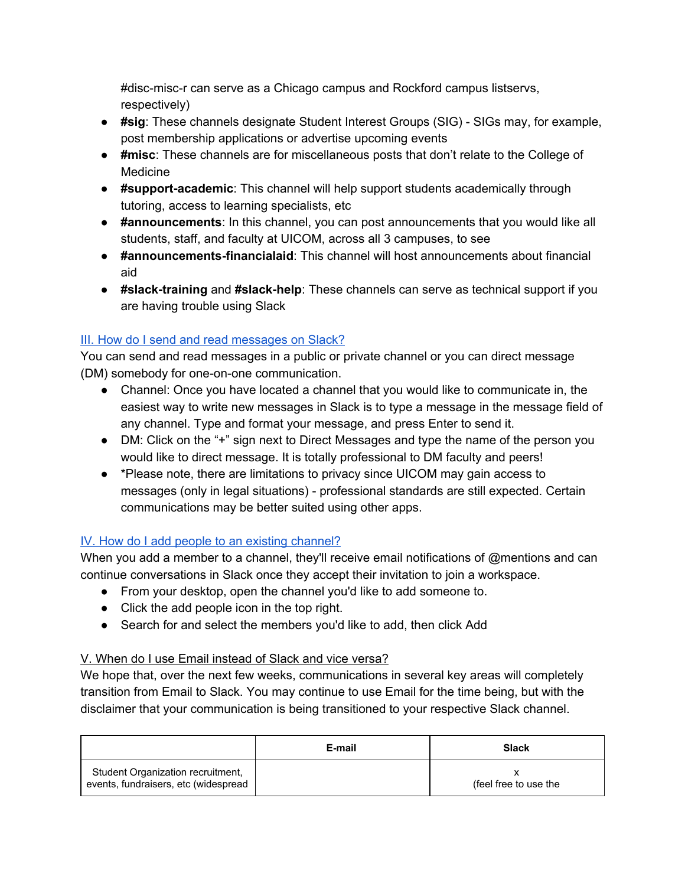#disc-misc-r can serve as a Chicago campus and Rockford campus listservs, respectively)

- **#sig**: These channels designate Student Interest Groups (SIG) SIGs may, for example, post membership applications or advertise upcoming events
- **#misc**: These channels are for miscellaneous posts that don't relate to the College of Medicine
- **#support-academic**: This channel will help support students academically through tutoring, access to learning specialists, etc
- **#announcements**: In this channel, you can post announcements that you would like all students, staff, and faculty at UICOM, across all 3 campuses, to see
- **● #announcements-financialaid**: This channel will host announcements about financial aid
- **#slack-training** and **#slack-help**: These channels can serve as technical support if you are having trouble using Slack

# III. How do I send and read [messages](https://slack.com/help/articles/201457107-Send-and-read-messages) on Slack?

You can send and read messages in a public or private channel or you can direct message (DM) somebody for one-on-one communication.

- Channel: Once you have located a channel that you would like to communicate in, the easiest way to write new messages in Slack is to type a message in the message field of any channel. Type and format your message, and press Enter to send it.
- DM: Click on the "+" sign next to Direct Messages and type the name of the person you would like to direct message. It is totally professional to DM faculty and peers!
- \*Please note, there are limitations to privacy since UICOM may gain access to messages (only in legal situations) - professional standards are still expected. Certain communications may be better suited using other apps.

## IV. How do I add people to an existing [channel?](https://slack.com/help/articles/201980108-Add-people-to-a-channel)

When you add a member to a channel, they'll receive email notifications of @mentions and can continue conversations in Slack once they accept their invitation to join a workspace.

- From your desktop, open the channel you'd like to add someone to.
- Click the add people icon in the top right.
- Search for and select the members you'd like to add, then click Add

## V. When do I use Email instead of Slack and vice versa?

We hope that, over the next few weeks, communications in several key areas will completely transition from Email to Slack. You may continue to use Email for the time being, but with the disclaimer that your communication is being transitioned to your respective Slack channel.

|                                                                           | E-mail | <b>Slack</b>          |
|---------------------------------------------------------------------------|--------|-----------------------|
| Student Organization recruitment,<br>events, fundraisers, etc (widespread |        | (feel free to use the |